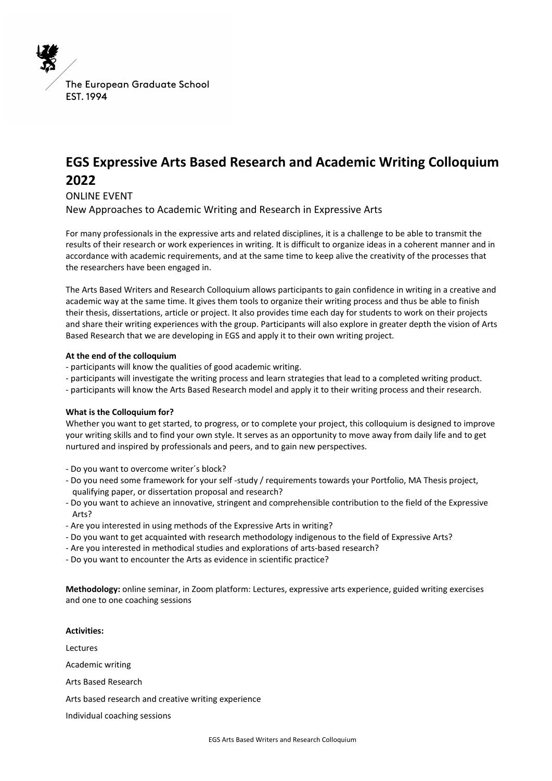The European Graduate School EST. 1994

# **EGS Expressive Arts Based Research and Academic Writing Colloquium 2022**

ONLINE EVENT

New Approaches to Academic Writing and Research in Expressive Arts

For many professionals in the expressive arts and related disciplines, it is a challenge to be able to transmit the results of their research or work experiences in writing. It is difficult to organize ideas in a coherent manner and in accordance with academic requirements, and at the same time to keep alive the creativity of the processes that the researchers have been engaged in.

The Arts Based Writers and Research Colloquium allows participants to gain confidence in writing in a creative and academic way at the same time. It gives them tools to organize their writing process and thus be able to finish their thesis, dissertations, article or project. It also provides time each day for students to work on their projects and share their writing experiences with the group. Participants will also explore in greater depth the vision of Arts Based Research that we are developing in EGS and apply it to their own writing project.

#### **At the end of the colloquium**

- participants will know the qualities of good academic writing.
- participants will investigate the writing process and learn strategies that lead to a completed writing product.
- participants will know the Arts Based Research model and apply it to their writing process and their research.

## **What is the Colloquium for?**

Whether you want to get started, to progress, or to complete your project, this colloquium is designed to improve your writing skills and to find your own style. It serves as an opportunity to move away from daily life and to get nurtured and inspired by professionals and peers, and to gain new perspectives.

- Do you want to overcome writer´s block?
- Do you need some framework for your self -study / requirements towards your Portfolio, MA Thesis project, qualifying paper, or dissertation proposal and research?
- Do you want to achieve an innovative, stringent and comprehensible contribution to the field of the Expressive Arts?
- Are you interested in using methods of the Expressive Arts in writing?
- Do you want to get acquainted with research methodology indigenous to the field of Expressive Arts?
- Are you interested in methodical studies and explorations of arts-based research?
- Do you want to encounter the Arts as evidence in scientific practice?

**Methodology:** online seminar, in Zoom platform: Lectures, expressive arts experience, guided writing exercises and one to one coaching sessions

**Activities:**  Lectures Academic writing Arts Based Research Arts based research and creative writing experience Individual coaching sessions